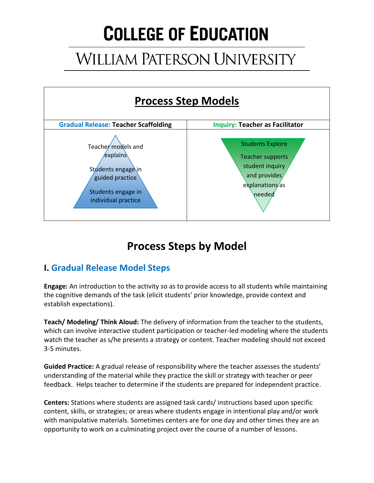# **COLLEGE OF EDUCATION**

# **WILLIAM PATERSON UNIVERSITY**



## **Process Steps by Model**

### **I. Gradual Release Model Steps**

**Engage:** An introduction to the activity so as to provide access to all students while maintaining the cognitive demands of the task (elicit students' prior knowledge, provide context and eestablish expectations).

**Teach/ Modeling/ Think Aloud:** The delivery of information from the teacher to the students, which can involve interactive student participation or teacher-led modeling where the students watch the teacher as s/he presents a strategy or content. Teacher modeling should not exceed 3-5 minutes.

**Guided Practice:** A gradual release of responsibility where the teacher assesses the students' understanding of the material while they practice the skill or strategy with teacher or peer feedback. Helps teacher to determine if the students are prepared for independent practice.

**Centers:** Stations where students are assigned task cards/ instructions based upon specific content, skills, or strategies; or areas where students engage in intentional play and/or work with manipulative materials. Sometimes centers are for one day and other times they are an opportunity to work on a culminating project over the course of a number of lessons.